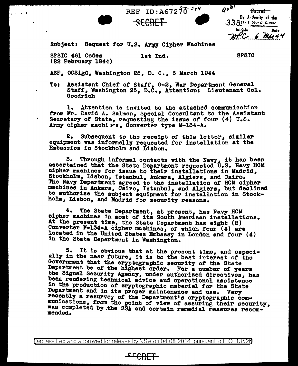

Subject: Request for U.S. Army Cipher Machines

•

SPSIC 461 Codes (22 February 1944)

**Carlo Carlo** 

let Ind.

~ECRET

REF ID:  $A67296^{-549}$ 

**SPSIC** 

ASF, OCSigO, Washington 25, D. C., 6 March 1944

To: Assistant Chief *ot* Starr, G-2, War Department General Staff, Washington 25, D.C., Attentions Lieutenant Col. Goodrich

l. Attention is invited to the attached communication trom Mr. David A. Salmon, Special Consultant to the Assistant Secretary of State, requesting the issue of four (4) U.S. Army cipher machins, Converter type M-134-A.

2. Subsequent to the receipt or this letter, a1m1lar equipment was informally requested for installation at the Embassies in Stockholm and Lisbon.

3. Through informal contacts with the Navy, it has been ascertained that the State Department requested U.S. Navy HCM cipher machines tor issue to their installations in Madrid, Stockholm, Lisbon, Istanbul, Ankara, Algiers, and Cairo. The NaV7 Department agreed to the installation *ot* HCM cipher machines 1n Ankara, Cairo, Istanbul, and Algiers, but declined to authorize the subject equipment for installation in Stockholm, Lisbon, and Madrid for security reasons.

4. The State Department, at present, has Navy HOM cipher machines in most of its South American installations. At the present time, the State Department has eight (8) Converter M-134-A cipher machines, of which four (4) are located in the United States Embassy in London and tour (4) in the State Department in Washington.

5. It is obvious that at the present time, and especi- ally in the near tuture, it ia to the best interest *ot* the Government that the cryptographic aeour1t7 *ot* the State Department be of the highest order. For a number of years the Signal Security Agency, under authorized directives, has been rendering technical advice and operational assistance in the production *ot* cryptographic materiel tor the State Department and in its proper maintenance and use. Very recently a resurvey of the Department's cryptographic communications, from the point of view *ot* assuring their security, was completed by .the SSA and certain remedial measures recom- mended.

Declassified and approved for release by NSA on 04-08-2014 pursuant to E.O. 13526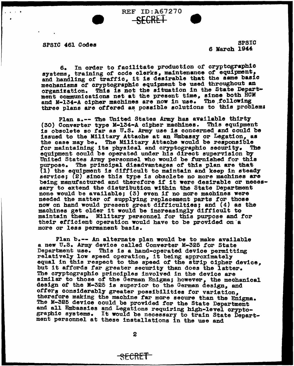SPSIC 461 Codes

•

. .

SPSIC 6 March 1944

6. In order to facilitate production *or* cryptographic systems, training of code clerks, maintenance of equipment, and handling of traffic, it is desirable that the same basic mechanisms *or* cryptographic equipment be used throughout an organization. This is not the situation in the State Department communications net at the present time, since both HOM and M-134-A cipher machines are now in use. The following three plans are offered as possible solutions to this problem:

REF ID:A67270 SECRET •

Plan a.-- The United States Army has available thirty (30) Converter type M-134-A cipher machines. This equipment is obsolete so far as U.S. Army use is concerned and could be is obsore as it as once many doom is concerned the coard of the case may be. The Military Attache would be responsible for maintaining its physical and cryptographic security. The for maintaining its physical and cryptographic security. The equipment could be operated under his direct supervision by United States Army personnel who would be furnished for this purpose. The principal disadvantages of this plan are that  $(1)$  the equipment is difficult to maintain and keep in steady service; (2) since this type is obsolete no more machines are being manufactured and therefore if it were desirable or necessary to extend the distribution within the State Department none would be available; (3) even if no more machines were needed the matter of supplying replacement parts tor those now on hand would present great difficulties; and (4) as the machines get older it would be increasingly difficult to maintain them. Military personnel for this purpose and for their efficient operation would have to be provided on a more or less permanent basis.

Plan b.-- An alternate plan would be to make available a new U.S. Army device called Converter M-325 for State<br>Department use. This is a hand-operated device permitting relatively low speed operation, it being approximately **relatively** low speed operation, it being approximately but it affords far greater security than does the latter. The cryptographic principles involved in the device are similar to those of the German Enigma; however, the mechanical design of the M-325 is superior to the German design, and offers considerably greater possibilities for variation, therefore making the machine far more secure than the Enigma. The M-325 device could be provided for the State Department<br>and all Embassies and Legations requiring high-level crypto-<br>graphic systems. It would be necessary to train State Department personnel at these installations in the use and

2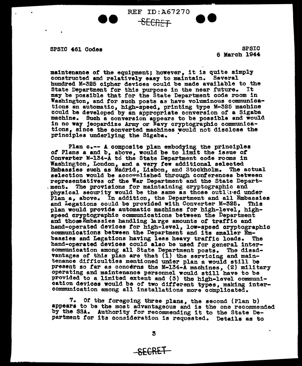SPSIC 461 Codes SPSIC

6 March 1944

maintenance of the equipment; however, it is quite simply constructed and relatively easy to maintain. Several hundred M-325 cipher devices could be made available to the State Department for this purpose in the near future. may be possible that for the State Department code room in Washington, and tor such posts as have voluminous communications an automatic, high-speed, printing type M-325 machine machine. Such a conversion appears to be possible and would in no way jeopardize Army or Navy cryptographic communications, since the converted machines would not disclose the principles underlying the Sigaba. •

**89 BEF ID:A67270** 

Plan c.-- A composite plan embodying the principles of Plans a and  $b$ , above, would be to limit the issue of Converter M-134-A to the State Department code rooms in Washington, London, and a very few additional selected Embassies such as Madrid, Lisbon, and Stockholm. The actual selection would be accomplished through conferences between representatives of the War Department and the State Depart-<br>ment. The provisions for maintaining cryptographic and physical security would be the same as those outlined under Plan a, above. In addition, the Department and all Embassies and Legations could be provided with Converter M-325. This plan would provide automatic machines for high-level, highspeed cryptographic communications between the Department and thoseEmbassies handling large amounts of traftio and hand-operated devices for high-level, low-speed cryptographic communications between the Department and its smaller Embassies and Legations having less heavy traftic loads. The hand-operated devices could alao be used tor general intercommunication among all State Department posts. The disadvantages of this plan are that (1) the servicing and maintenance difficulties mentioned under plan a would still be present so far as concerns the M-134-A machines, (2) military operating and maintenance personnel would still have to be provided to a limited extent and (3) the high-level communication devices would be or two ditterent types, making intercommunication among all 1nstallat1ons more complicated.

7. Of the torego1ng three plans, the second (Plan b) appears to be the most advantageous and is the one recommended by the SSA. Authority for recommending it to the State Department *tor* its consideration 1s requested. Details as to

SECRE1